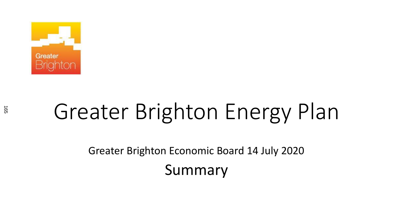

# Greater Brighton Energy Plan

Greater Brighton Economic Board 14 July 2020 Summary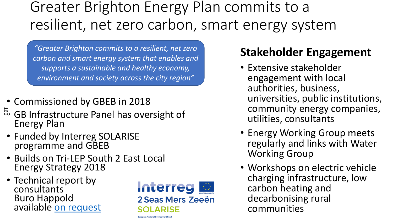# Greater Brighton Energy Plan commits to a resilient, net zero carbon, smart energy system

*"Greater Brighton commits to a resilient, net zero carbon and smart energy system that enables and supports a sustainable and healthy economy, environment and society across the city region"*

- Commissioned by GBEB in 2018
- $\vec{e}$  GB Infrastructure Panel has oversight of Energy Plan
- Funded by Interreg SOLARISE programme and GBEB
- Builds on Tri-LEP South 2 East Local Energy Strategy 2018
- Technical report by consultants Buro Happold available [on request](mailto:kirsten.firth@brighton-hove.gov.uk)



### **Stakeholder Engagement**

- Extensive stakeholder engagement with local authorities, business, universities, public institutions, community energy companies, utilities, consultants
- Energy Working Group meets regularly and links with Water Working Group
- Workshops on electric vehicle charging infrastructure, low carbon heating and decarbonising rural communities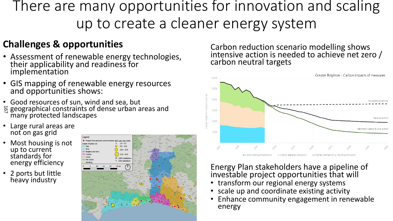### There are many opportunities for innovation and scaling up to create a cleaner energy system

#### **Challenges & opportunities**

- Assessment of renewable energy technologies, their applicability and readiness for implementation
- GIS mapping of renewable energy resources and opportunities shows:
- Good resources of sun, wind and sea, but geographical constraints of dense urban areas and many protected landscapes ام<br>7
- Large rural areas are not on gas grid
- Most housing is not up to current standards for energy efficiency
- 2 ports but little heavy industry



Carbon reduction scenario modelling shows intensive action is needed to achieve net zero  $/$ carbon neutral targets



#### Energy Plan stakeholders have a pipeline of investable project opportunities that will

- transform our regional energy systems
- scale up and coordinate existing activity
- Enhance community engagement in renewable energy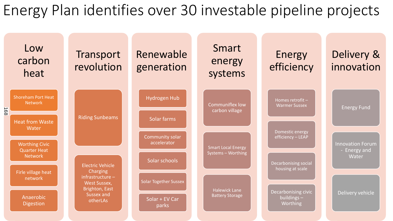### Energy Plan identifies over 30 investable pipeline projects

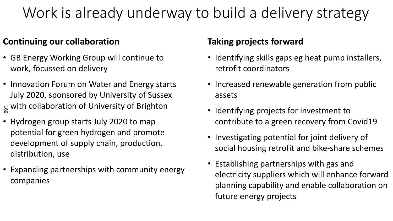# Work is already underway to build a delivery strategy

#### **Continuing our collaboration**

- GB Energy Working Group will continue to work, focussed on delivery
- Innovation Forum on Water and Energy starts July 2020, sponsored by University of Sussex  $_{\overset{\rightarrow}{\text{ss}}}$  with collaboration of University of Brighton
- Hydrogen group starts July 2020 to map potential for green hydrogen and promote development of supply chain, production, distribution, use
- Expanding partnerships with community energy companies

#### **Taking projects forward**

- Identifying skills gaps eg heat pump installers, retrofit coordinators
- Increased renewable generation from public assets
- Identifying projects for investment to contribute to a green recovery from Covid19
- Investigating potential for joint delivery of social housing retrofit and bike-share schemes
- Establishing partnerships with gas and electricity suppliers which will enhance forward planning capability and enable collaboration on future energy projects